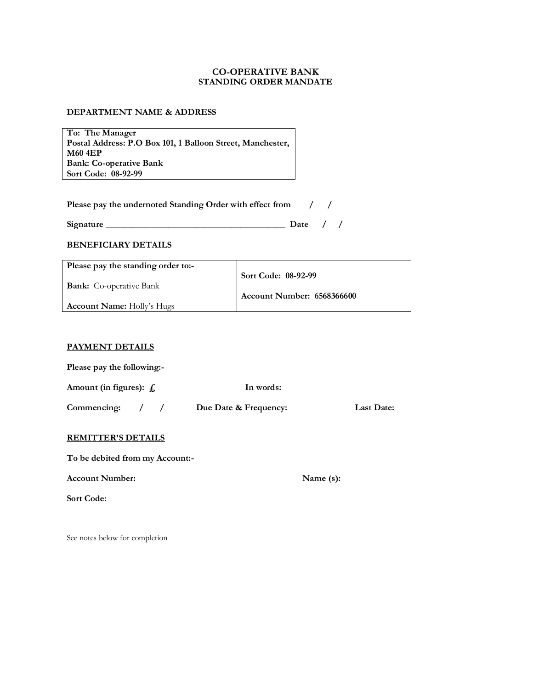### **CO-OPERATIVE BANK STANDING ORDER MANDATE**

#### **DEPARTMENT NAME & ADDRESS**

**To: The Manager Postal Address: P.O Box 101, 1 Balloon Street, Manchester, M60 4EP Bank: Co-operative Bank Sort Code: 08-92-99** 

| Please pay the undernoted Standing Order with effect from |  |  |
|-----------------------------------------------------------|--|--|
|-----------------------------------------------------------|--|--|

#### **BENEFICIARY DETAILS**

| Please pay the standing order to:- |                            |
|------------------------------------|----------------------------|
|                                    | Sort Code: 08-92-99        |
| <b>Bank:</b> Co-operative Bank     |                            |
|                                    | Account Number: 6568366600 |
| <b>Account Name:</b> Holly's Hugs  |                            |

#### **PAYMENT DETAILS**

| Please pay the following:-   |            |                       |            |
|------------------------------|------------|-----------------------|------------|
| Amount (in figures): $f_1$ . |            | In words:             |            |
| Commencing:                  | $\sqrt{2}$ | Due Date & Frequency: | Last Date: |

#### **REMITTER'S DETAILS**

**To be debited from my Account:-** 

Account Number: Name (s):

**Sort Code:** 

See notes below for completion